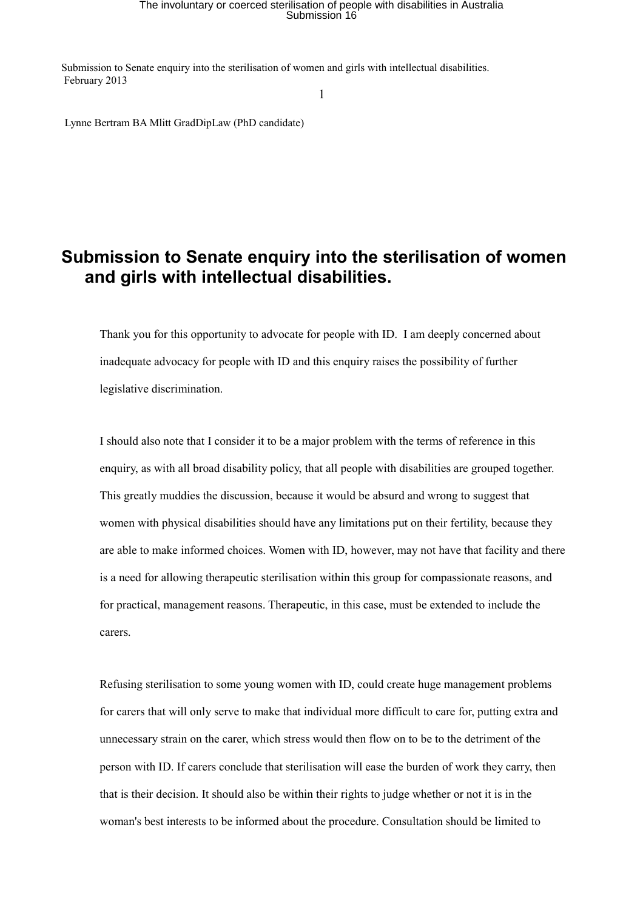## The involuntary or coerced sterilisation of people with disabilities in Australia Submission 16

Submission to Senate enquiry into the sterilisation of women and girls with intellectual disabilities. February 2013

1

Lynne Bertram BA Mlitt GradDipLaw (PhD candidate)

## **Submission to Senate enquiry into the sterilisation of women and girls with intellectual disabilities.**

Thank you for this opportunity to advocate for people with ID. I am deeply concerned about inadequate advocacy for people with ID and this enquiry raises the possibility of further legislative discrimination.

I should also note that I consider it to be a major problem with the terms of reference in this enquiry, as with all broad disability policy, that all people with disabilities are grouped together. This greatly muddies the discussion, because it would be absurd and wrong to suggest that women with physical disabilities should have any limitations put on their fertility, because they are able to make informed choices. Women with ID, however, may not have that facility and there is a need for allowing therapeutic sterilisation within this group for compassionate reasons, and for practical, management reasons. Therapeutic, in this case, must be extended to include the carers.

Refusing sterilisation to some young women with ID, could create huge management problems for carers that will only serve to make that individual more difficult to care for, putting extra and unnecessary strain on the carer, which stress would then flow on to be to the detriment of the person with ID. If carers conclude that sterilisation will ease the burden of work they carry, then that is their decision. It should also be within their rights to judge whether or not it is in the woman's best interests to be informed about the procedure. Consultation should be limited to